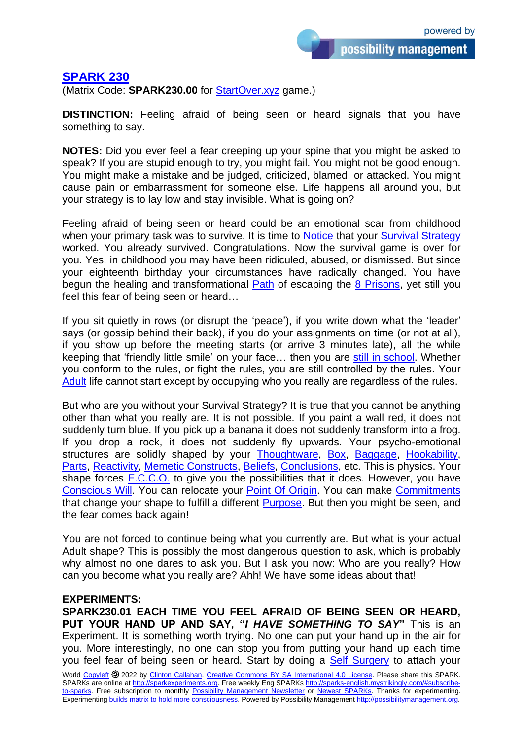possibility management

## **[SPARK 230](https://sparks-english.mystrikingly.com/)**

(Matrix Code: **SPARK230.00** for [StartOver.xyz](http://startoverxyz.mystrikingly.com/) game.)

**DISTINCTION:** Feeling afraid of being seen or heard signals that you have something to say.

**NOTES:** Did you ever feel a fear creeping up your spine that you might be asked to speak? If you are stupid enough to try, you might fail. You might not be good enough. You might make a mistake and be judged, criticized, blamed, or attacked. You might cause pain or embarrassment for someone else. Life happens all around you, but your strategy is to lay low and stay invisible. What is going on?

Feeling afraid of being seen or heard could be an emotional scar from childhood when your primary task was to survive. It is time to [Notice](http://noticing.mystrikingly.com/) that your [Survival Strategy](http://survivalstrategy.mystrikingly.com/) worked. You already survived. Congratulations. Now the survival game is over for you. Yes, in childhood you may have been ridiculed, abused, or dismissed. But since your eighteenth birthday your circumstances have radically changed. You have begun the healing and transformational [Path](http://path.mystrikingly.com/) of escaping the [8 Prisons,](http://8prisons.mystrikingly.com/) yet still you feel this fear of being seen or heard…

If you sit quietly in rows (or disrupt the 'peace'), if you write down what the 'leader' says (or gossip behind their back), if you do your assignments on time (or not at all), if you show up before the meeting starts (or arrive 3 minutes late), all the while keeping that 'friendly little smile' on your face… then you are [still in school.](http://healfromschool.mystrikingly.com/) Whether you conform to the rules, or fight the rules, you are still controlled by the rules. Your [Adult](http://adulthood.mystrikingly.com/) life cannot start except by occupying who you really are regardless of the rules.

But who are you without your Survival Strategy? It is true that you cannot be anything other than what you really are. It is not possible. If you paint a wall red, it does not suddenly turn blue. If you pick up a banana it does not suddenly transform into a frog. If you drop a rock, it does not suddenly fly upwards. Your psycho-emotional structures are solidly shaped by your [Thoughtware,](http://thoughtware.mystrikingly.com/) [Box,](http://boxtechnology.mystrikingly.com/) [Baggage,](http://baggage.mystrikingly.com/) [Hookability,](http://becomeunhookable.mystrikingly.com/) [Parts,](http://parts.mystrikingly.com/) [Reactivity,](http://reactivity.mystrikingly.com/) [Memetic Constructs,](http://memeticconstruct.mystrikingly.com/) [Beliefs,](http://beliefs.mystrikingly.com/) [Conclusions,](http://conclusions.mystrikingly.com/) etc. This is physics. Your shape forces [E.C.C.O.](http://ecco.mystrikingly.com/) to give you the possibilities that it does. However, you have [Conscious Will.](http://consciouswill.mystrikingly.com/) You can relocate your [Point Of](http://pointoforigin.mystrikingly.com/) Origin. You can make [Commitments](http://becomecommitted.mystrikingly.com/) that change your shape to fulfill a different [Purpose.](http://purposesniffer.mystrikingly.com/) But then you might be seen, and the fear comes back again!

You are not forced to continue being what you currently are. But what is your actual Adult shape? This is possibly the most dangerous question to ask, which is probably why almost no one dares to ask you. But I ask you now: Who are you really? How can you become what you really are? Ahh! We have some ideas about that!

## **EXPERIMENTS:**

**SPARK230.01 EACH TIME YOU FEEL AFRAID OF BEING SEEN OR HEARD, PUT YOUR HAND UP AND SAY, "***I HAVE SOMETHING TO SAY***"** This is an Experiment. It is something worth trying. No one can put your hand up in the air for you. More interestingly, no one can stop you from putting your hand up each time you feel fear of being seen or heard. Start by doing a [Self Surgery](http://selfsurgery.mystrikingly.com/) to attach your

World [Copyleft](https://en.wikipedia.org/wiki/Copyleft) <sup>2022</sup> by [Clinton Callahan.](http://clintoncallahan.mystrikingly.com/) Creative Commons [BY SA International 4.0](https://creativecommons.org/licenses/by-sa/4.0/) License. Please share this SPARK. SPARKs are online at [http://sparkexperiments.org.](http://sparks-english.mystrikingly.com/) Free weekly Eng SPARKs [http://sparks-english.mystrikingly.com/#subscribe](http://sparks-english.mystrikingly.com/#subscribe-to-sparks)[to-sparks.](http://sparks-english.mystrikingly.com/#subscribe-to-sparks) Free subscription to monthly [Possibility Management Newsletter](https://possibilitymanagement.org/news/) or Newest [SPARKs.](https://www.clintoncallahan.org/newsletter-1) Thanks for experimenting. Experimenting builds matrix to hold [more consciousness.](http://spaceport.mystrikingly.com/) Powered by Possibility Management [http://possibilitymanagement.org.](http://possibilitymanagement.org/)